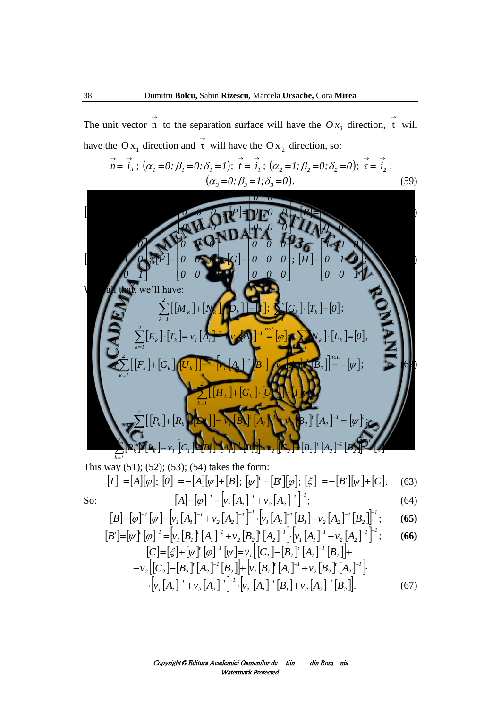The unit vector  $\overrightarrow{n}$  to the separation surface will have the  $O_{x_3}$  direction,  $\overrightarrow{t}$  will have the O<sub>x<sub>1</sub></sub> direction and  $\vec{\tau}$  will have the O<sub>x<sub>2</sub></sub> direction, so:

$$
\vec{n} = \vec{i}_3; (\alpha_1 = 0; \beta_1 = 0; \delta_1 = 1); \vec{t} = \vec{i}_1; (\alpha_2 = 1; \beta_2 = 0; \delta_2 = 0); \vec{\tau} = \vec{i}_2; (\alpha_3 = 0; \beta_3 = 1; \delta_3 = 0).
$$
 (59)

$$
[M] = \begin{bmatrix} 1 & 0 & 0 \\ 0 & 1 & 0 \\ 0 & 0 & 1 \end{bmatrix}; [N] = \begin{bmatrix} 0 & 0 & 0 \\ 0 & 0 & 0 \\ 0 & 0 & 0 \end{bmatrix}; [P] = \begin{bmatrix} 0 & 0 & 0 \\ 0 & 0 & 0 \\ 0 & 0 & 0 \end{bmatrix}; [R] = \begin{bmatrix} 1 & 0 & 0 \\ 0 & 1 & 0 \\ 0 & 0 & 1 \end{bmatrix};
$$
(60)  

$$
\begin{bmatrix} 1 & 0 & 0 \end{bmatrix} \qquad \begin{bmatrix} 0 & 0 & 0 \end{bmatrix} \qquad \begin{bmatrix} 0 & 0 & 0 \end{bmatrix} \qquad \begin{bmatrix} 0 & 0 & 0 \end{bmatrix} \qquad \begin{bmatrix} 1 & 0 & 0 \end{bmatrix}
$$

$$
[E] = \begin{bmatrix} 0 & 1 & 0 \\ 0 & 0 & 1 \end{bmatrix}; [F] = \begin{bmatrix} 0 & 0 & 0 \\ 0 & 0 & 0 \end{bmatrix}; [G] = \begin{bmatrix} 0 & 0 & 0 \\ 0 & 0 & 0 \end{bmatrix}; [H] = \begin{bmatrix} 0 & 1 & 0 \\ 0 & 0 & 1 \end{bmatrix};
$$
\nWith all that we'll have:

With all that, we'll have:

$$
\sum_{k=1}^{2} [[M_{k}] + [N_{k}] \cdot [D_{k}]] = [I]; \sum_{k=1}^{2} [G_{k}] \cdot [T_{k}] = [0];
$$
\n
$$
\sum_{k=1}^{2} [E_{k}] \cdot [T_{k}] = v_{1}[A_{1}]^{-1} + v_{2}[A_{2}]^{-1} = [\varphi]; \sum_{k=1}^{2} [N_{k}] \cdot [L_{k}] = [0],
$$
\n
$$
\sum_{k=1}^{2} [[F_{k}] + [G_{k}] \cdot [U_{k}]] = -[v_{1}[A_{1}]^{-1}[B_{1}] + v_{2}[A_{2}]^{-1}[B_{2}] = -[\psi];
$$
\n
$$
\sum_{k=1}^{2} [[H_{k}] + [G_{k}] \cdot [U_{k}]] = [I];
$$
\n
$$
\sum_{k=1}^{2} [[P_{k}] + [R_{k}] \cdot [D_{k}]] = v_{1}[B_{1}]^{T} [A_{1}]^{-1} + v_{2}[B_{2}]^{T} [A_{2}]^{-1} = [\psi]^{T};
$$
\n
$$
\sum_{k=1}^{2} [R_{k}] \cdot [L_{k}] = v_{1}[C_{1}] - [B_{1}]^{T} [A_{1}]^{-1}[B_{1}] + v_{2}[C_{2}] - [B_{2}]^{T} [A_{2}]^{-1}[B_{2}] = [\xi].
$$
\nThis way (51); (52); (53); (54) takes the form:  
\n
$$
[I] = [A][\varphi]; [0] = -[A][\psi] + [B]; [\psi]^{T} = [B'][\varphi]; [\xi] = -[B'][\psi] + [C].
$$
\n(63)  
\nSo:  
\n
$$
[A] = [\varphi]^{-1} = [v_{1}[A_{1}]^{-1} + v_{2}[A_{2}]^{-1}]^{-1};
$$
\n(64)

So:

$$
[B] = [\varphi]^{-1} [\psi] = [\nu_1 [A_1]^{-1} + \nu_2 [A_2]^{-1}]^{-1} \cdot [\nu_1 [A_1]^{-1} [B_1] + \nu_2 [A_2]^{-1} [B_2]^{-1}; \tag{65}
$$
  
[*p*'] [a<sup>-1</sup>'] [a<sup>-1</sup>'] [a<sup>-1</sup>'] [a<sup>-1</sup>'] [b<sup>-1</sup>'] [b<sup>-1</sup>'] [a<sup>-1</sup>'] [a<sup>-1</sup>'] [a<sup>-1</sup>'] [a<sup>-1</sup>'] [a<sup>-1</sup>'] [a<sup>-1</sup>'] [a<sup>-1</sup>'] [a<sup>-1</sup>'] [a<sup>-1</sup>'] [a<sup>-1</sup>'] [a<sup>-1</sup>'] [a<sup>-1</sup>'] [a<sup>-1</sup>'] [a<sup>-1</sup>'] [a<sup>-1</sup>'] [a<sup>-1</sup>'] [a<sup>-1</sup>'] [a<sup>-1</sup>'] [a<sup>-1</sup>'] [a<sup>-1</sup>'] [a<sup>-1</sup>'] [a<sup>-1</sup>'] [a<sup>-1</sup>'] [a<sup>-1</sup>'] [a<sup>-1</sup>'] [a<sup>-1</sup>'] [a<sup>-1</sup>'] [a<sup>-1</sup>'] [a<sup>-1</sup>'] [a<sup>-1</sup>'] [a<sup>-1</sup>'] [a<sup>-1</sup>'] [a<sup>-1</sup>'] [a<sup>-1</sup>'] [a<sup>-1</sup>'] [a<sup>-1</sup>'] [a<sup>-1</sup>'] [a<sup>-1</sup>'] [a<sup>-1</sup>'] [a<sup>-1</sup>'] [a<sup>-1</sup>'] [a<sup>-1</sup>'] [a<sup>-1</sup>'] [a<sup>-1</sup>'] [a<sup>-1</sup>'] [a<sup>-1</sup>'] [a<sup>-1</sup>'] [a<sup>-1</sup>'] [a<sup>-1</sup>'] [a<sup>-1</sup>'] [a<sup>-1</sup>'] [a<sup>-1</sup>'] [a<sup>-1</sup>'] [a<sup>-1</sup>'] [a<sup>-1</sup>'] [a<sup>-1</sup>'] [a<sup>-1</sup>'] [a<sup>-1</sup>'] [a<sup>-1</sup>'] [a<sup>-1</sup>

$$
[B'] = [\psi]^{r} [\varphi]^{-1} = [\nu_{1} [B_{1}]^{r} [A_{1}]^{-1} + \nu_{2} [B_{2}]^{r} [A_{2}]^{-1}] \cdot [\nu_{1} [A_{1}]^{-1} + \nu_{2} [A_{2}]^{-1}]^{-1};
$$
(66)  

$$
[C] = [\xi] + [\psi]^{r} [\varphi]^{-1} [\psi] = \nu_{1} [C_{1}] - [B_{1}]^{r} [A_{1}]^{-1} [B_{1}] +
$$

$$
+v_{2}\left[\left[C_{2}\right]-\left[B_{2}\right]^{r}\left[A_{2}\right]^{-1}\left[B_{2}\right]\right]+\left[v_{1}\left[B_{1}\right]^{r}\left[A_{1}\right]^{-1}+v_{2}\left[B_{2}\right]^{r}\left[A_{2}\right]^{-1}\right].
$$
\n
$$
\cdot\left[v_{1}\left[A_{1}\right]^{-1}+v_{2}\left[A_{2}\right]^{-1}\right]^{-1}\cdot\left[v_{1}\left[A_{1}\right]^{-1}\left[B_{1}\right]+v_{2}\left[A_{2}\right]^{-1}\left[B_{2}\right]\right].
$$
\n(67)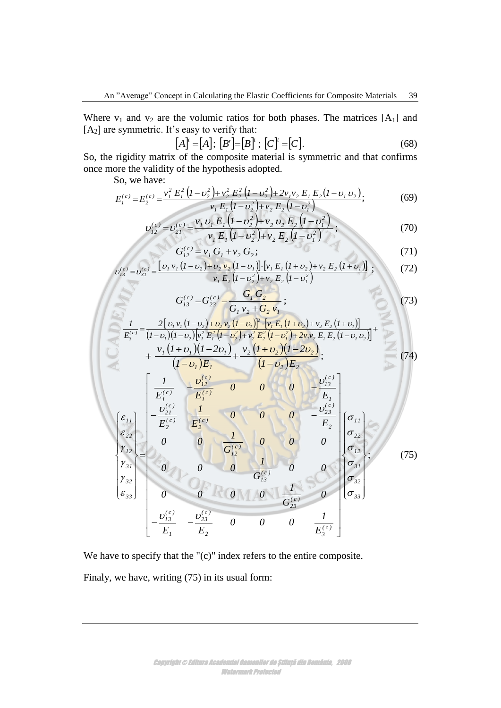Where  $v_1$  and  $v_2$  are the volumic ratios for both phases. The matrices [A<sub>1</sub>] and  $[A<sub>2</sub>]$  are symmetric. It's easy to verify that:

$$
[A]^t = [A]; [B'] = [B]^t; [C]^t = [C].
$$
\n(68)

So, the rigidity matrix of the composite material is symmetric and that confirms once more the validity of the hypothesis adopted.

So, we have:

$$
E_1^{(c)} = E_2^{(c)} = \frac{v_1^2 E_1^2 (I - v_2^2) + v_2^2 E_2^2 (I - v_2^2) + 2v_1 v_2 E_1 E_2 (I - v_1 v_2)}{v_1 E_1 (I - v_2^2) + v_2 E_2 (I - v_1^2)},
$$
(69)

$$
v_{12}^{(e)} = v_{21}^{(e)} = \frac{v_1 v_1 E_1 (I - v_2^2) + v_2 v_2 E_2 (I - v_1^2)}{v_1 E_1 (I - v_2^2) + v_2 E_2 (I - v_1^2)};
$$
\n(70)

$$
G_{12}^{(c)} = v_1 G_1 + v_2 G_2;
$$
\n(71)

$$
v_{13}^{(e)} = v_{31}^{(e)} = \frac{\left[ v_1 v_1 (I - v_2) + v_2 v_2 (I - v_1) \right] \cdot \left[ v_1 E_1 (I + v_2) + v_2 E_2 (I + v_1) \right]}{v_1 E_1 (I - v_2^2) + v_2 E_2 (I - v_1^2)} \tag{72}
$$

$$
G_{13}^{(c)} = G_{23}^{(c)} = \frac{G_1 G_2}{G_1 v_2 + G_2 v_1};
$$
\n(73)

$$
\frac{1}{E_3^{(c)}} = \frac{2 [v_1 v_1 (1 - v_2) + v_2 v_2 (1 - v_1)]^2 \cdot [v_1 E_1 (1 + v_2) + v_2 E_2 (1 + v_1)]}{(1 - v_1)(1 - v_2)[v_1^2 E_1^2 (1 - v_2^2) + v_2^2 E_2^2 (1 - v_1^2) + 2v_1 v_2 E_1 E_2 (1 - v_1 v_2)]^+} + \frac{v_1 (1 + v_1)(1 - 2v_1)}{(1 - v_1)E_1} + \frac{v_2 (1 + v_2)(1 - 2v_2)}{(1 - v_1)E_2};
$$
(74)

$$
\begin{bmatrix}\n(I - v_1)E_1 & (I - v_2)E_2 \\
E_1^{(c)} & -\frac{v_{12}^{(c)}}{E_1^{(c)}} & 0 & 0 & 0 \\
E_1^{(c)} & E_2^{(c)} & 0 & 0 & 0 & -\frac{v_{13}^{(c)}}{E_1} \\
\epsilon_{22} \\
\epsilon_{22} \\
\gamma_{31} \\
\gamma_{32} \\
\epsilon_{33}\n\end{bmatrix}\n\begin{bmatrix}\n\mathcal{E}_{II} \\
-\frac{v_{21}^{(c)}}{E_2^{(c)}} & \frac{I}{E_2^{(c)}} & 0 & 0 & 0 & -\frac{v_{23}^{(c)}}{E_2} \\
0 & 0 & 0 & 0 & 0 & 0 \\
0 & 0 & 0 & \frac{I}{G_{12}^{(c)}} & 0 & 0 \\
\frac{I}{G_{13}^{(c)}} & 0 & 0 & 0 & \frac{I}{G_{31}^{(c)}} \\
\frac{I}{G_{32}^{(c)}} & -\frac{V_{13}^{(c)}}{E_1} & -\frac{V_{23}^{(c)}}{E_2} & 0 & 0 & 0 & \frac{I}{G_{32}^{(c)}}\n\end{bmatrix}\n\begin{bmatrix}\n\sigma_{11} \\
\sigma_{22} \\
\sigma_{23} \\
\sigma_{31} \\
\sigma_{32} \\
\sigma_{33}\n\end{bmatrix}.
$$
\n(75)

We have to specify that the "(c)" index refers to the entire composite. Finaly, we have, writing (75) in its usual form: